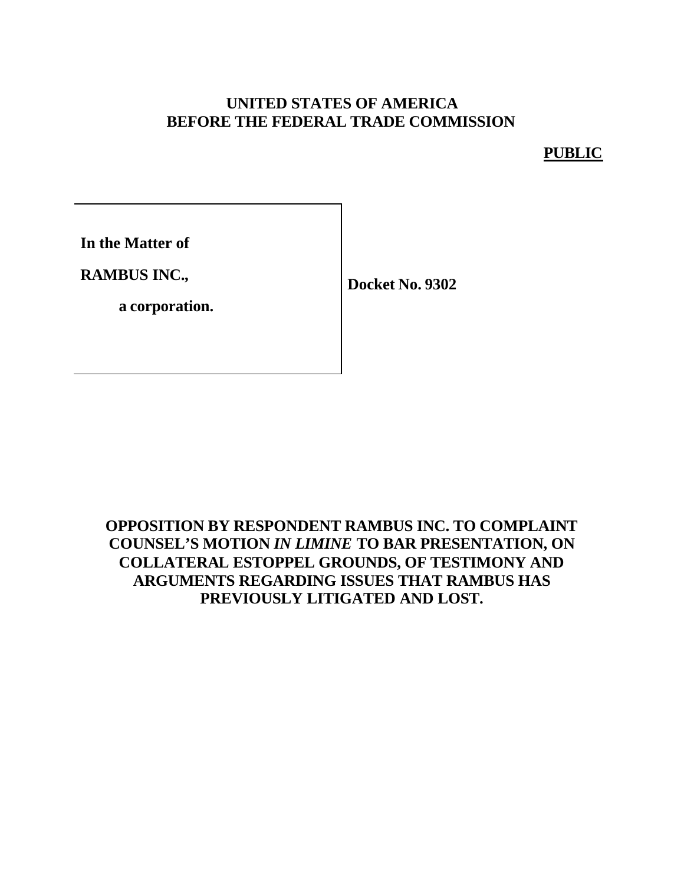# **UNITED STATES OF AMERICA BEFORE THE FEDERAL TRADE COMMISSION**

**PUBLIC**

**In the Matter of**

**RAMBUS INC.,**

**a corporation.**

**Docket No. 9302**

# **OPPOSITION BY RESPONDENT RAMBUS INC. TO COMPLAINT COUNSEL'S MOTION** *IN LIMINE* **TO BAR PRESENTATION, ON COLLATERAL ESTOPPEL GROUNDS, OF TESTIMONY AND ARGUMENTS REGARDING ISSUES THAT RAMBUS HAS PREVIOUSLY LITIGATED AND LOST.**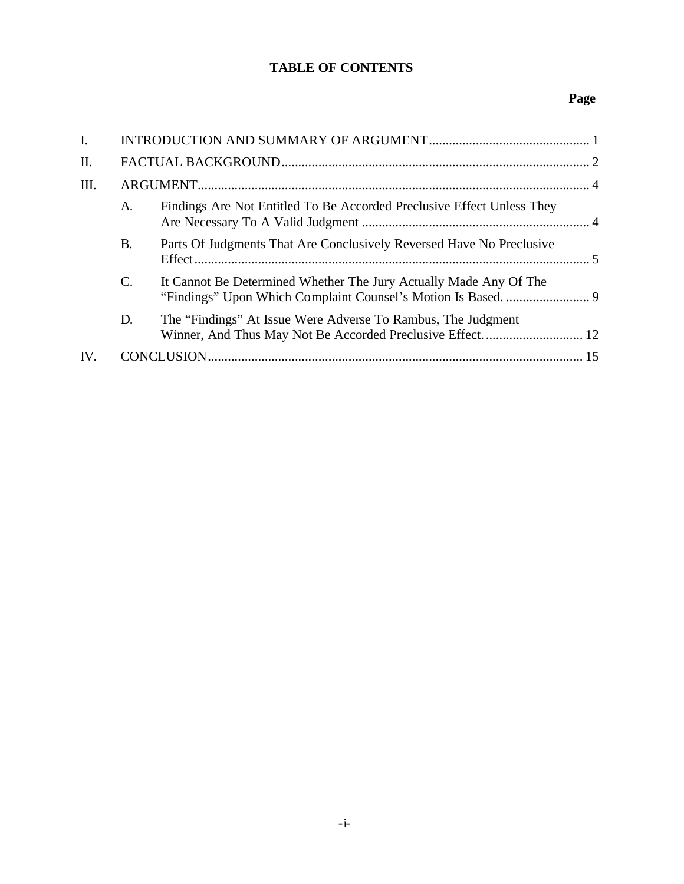## **TABLE OF CONTENTS**

## **Page**

| $\mathbf{I}$ . |           |                                                                        |  |
|----------------|-----------|------------------------------------------------------------------------|--|
| II.            |           |                                                                        |  |
| III.           |           |                                                                        |  |
|                | A.        | Findings Are Not Entitled To Be Accorded Preclusive Effect Unless They |  |
|                | <b>B.</b> | Parts Of Judgments That Are Conclusively Reversed Have No Preclusive   |  |
|                | C.        | It Cannot Be Determined Whether The Jury Actually Made Any Of The      |  |
|                | D.        | The "Findings" At Issue Were Adverse To Rambus, The Judgment           |  |
| IV.            |           |                                                                        |  |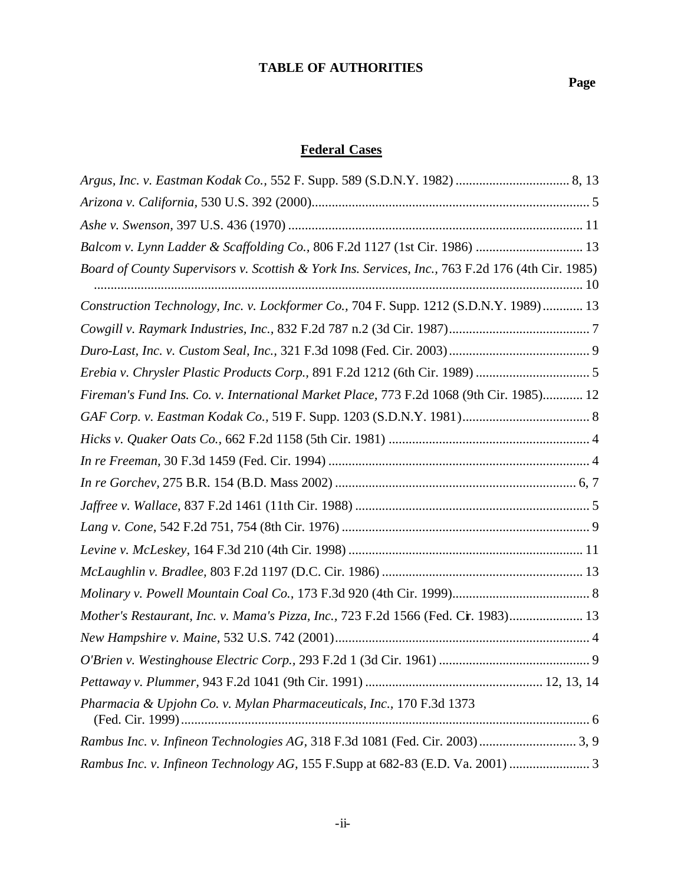# **TABLE OF AUTHORITIES**

# **Federal Cases**

| Balcom v. Lynn Ladder & Scaffolding Co., 806 F.2d 1127 (1st Cir. 1986)  13                       |  |
|--------------------------------------------------------------------------------------------------|--|
| Board of County Supervisors v. Scottish & York Ins. Services, Inc., 763 F.2d 176 (4th Cir. 1985) |  |
| Construction Technology, Inc. v. Lockformer Co., 704 F. Supp. 1212 (S.D.N.Y. 1989) 13            |  |
|                                                                                                  |  |
|                                                                                                  |  |
| Erebia v. Chrysler Plastic Products Corp., 891 F.2d 1212 (6th Cir. 1989) 5                       |  |
| Fireman's Fund Ins. Co. v. International Market Place, 773 F.2d 1068 (9th Cir. 1985) 12          |  |
|                                                                                                  |  |
|                                                                                                  |  |
|                                                                                                  |  |
|                                                                                                  |  |
|                                                                                                  |  |
|                                                                                                  |  |
|                                                                                                  |  |
|                                                                                                  |  |
|                                                                                                  |  |
| Mother's Restaurant, Inc. v. Mama's Pizza, Inc., 723 F.2d 1566 (Fed. Cr. 1983) 13                |  |
|                                                                                                  |  |
|                                                                                                  |  |
|                                                                                                  |  |
| Pharmacia & Upjohn Co. v. Mylan Pharmaceuticals, Inc., 170 F.3d 1373                             |  |
|                                                                                                  |  |
| Rambus Inc. v. Infineon Technology AG, 155 F.Supp at 682-83 (E.D. Va. 2001)  3                   |  |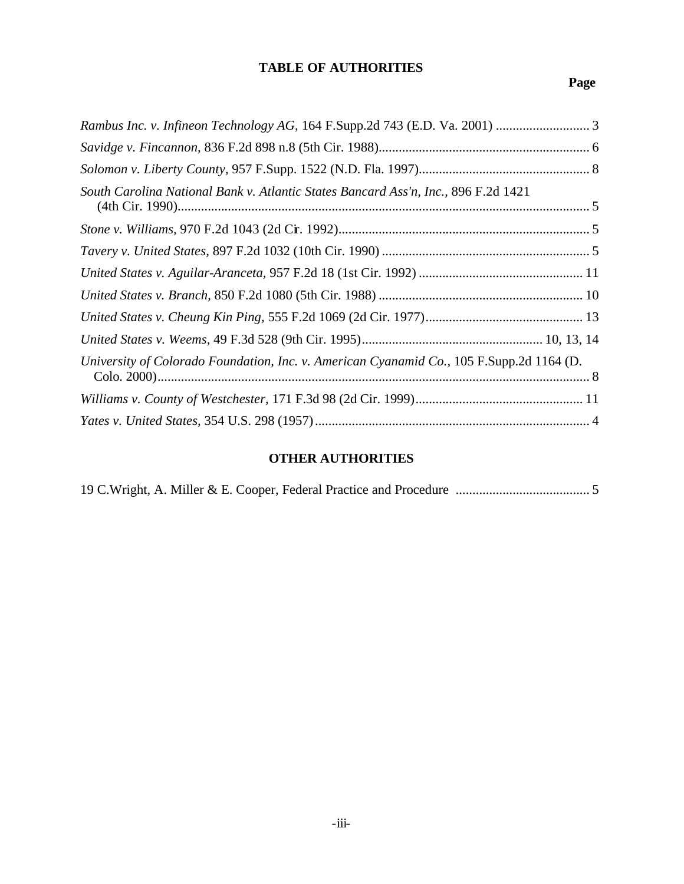# **TABLE OF AUTHORITIES**

# **Page**

| South Carolina National Bank v. Atlantic States Bancard Ass'n, Inc., 896 F.2d 1421       |
|------------------------------------------------------------------------------------------|
|                                                                                          |
|                                                                                          |
|                                                                                          |
|                                                                                          |
|                                                                                          |
|                                                                                          |
| University of Colorado Foundation, Inc. v. American Cyanamid Co., 105 F.Supp.2d 1164 (D. |
|                                                                                          |
|                                                                                          |

# **OTHER AUTHORITIES**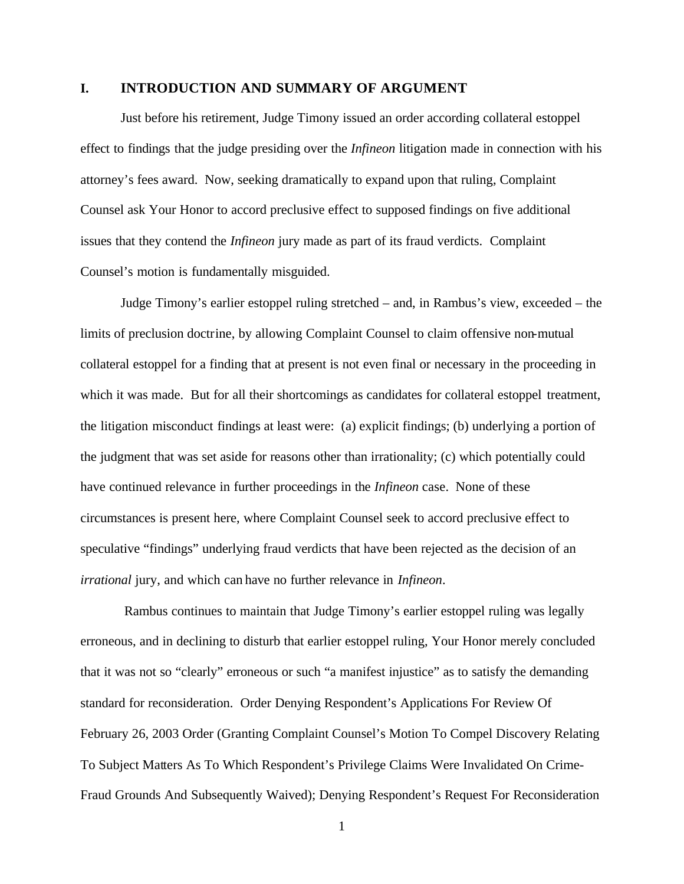#### **I. INTRODUCTION AND SUMMARY OF ARGUMENT**

Just before his retirement, Judge Timony issued an order according collateral estoppel effect to findings that the judge presiding over the *Infineon* litigation made in connection with his attorney's fees award. Now, seeking dramatically to expand upon that ruling, Complaint Counsel ask Your Honor to accord preclusive effect to supposed findings on five additional issues that they contend the *Infineon* jury made as part of its fraud verdicts. Complaint Counsel's motion is fundamentally misguided.

Judge Timony's earlier estoppel ruling stretched – and, in Rambus's view, exceeded – the limits of preclusion doctrine, by allowing Complaint Counsel to claim offensive non-mutual collateral estoppel for a finding that at present is not even final or necessary in the proceeding in which it was made. But for all their shortcomings as candidates for collateral estoppel treatment, the litigation misconduct findings at least were: (a) explicit findings; (b) underlying a portion of the judgment that was set aside for reasons other than irrationality; (c) which potentially could have continued relevance in further proceedings in the *Infineon* case. None of these circumstances is present here, where Complaint Counsel seek to accord preclusive effect to speculative "findings" underlying fraud verdicts that have been rejected as the decision of an *irrational* jury, and which can have no further relevance in *Infineon*.

 Rambus continues to maintain that Judge Timony's earlier estoppel ruling was legally erroneous, and in declining to disturb that earlier estoppel ruling, Your Honor merely concluded that it was not so "clearly" erroneous or such "a manifest injustice" as to satisfy the demanding standard for reconsideration. Order Denying Respondent's Applications For Review Of February 26, 2003 Order (Granting Complaint Counsel's Motion To Compel Discovery Relating To Subject Matters As To Which Respondent's Privilege Claims Were Invalidated On Crime-Fraud Grounds And Subsequently Waived); Denying Respondent's Request For Reconsideration

1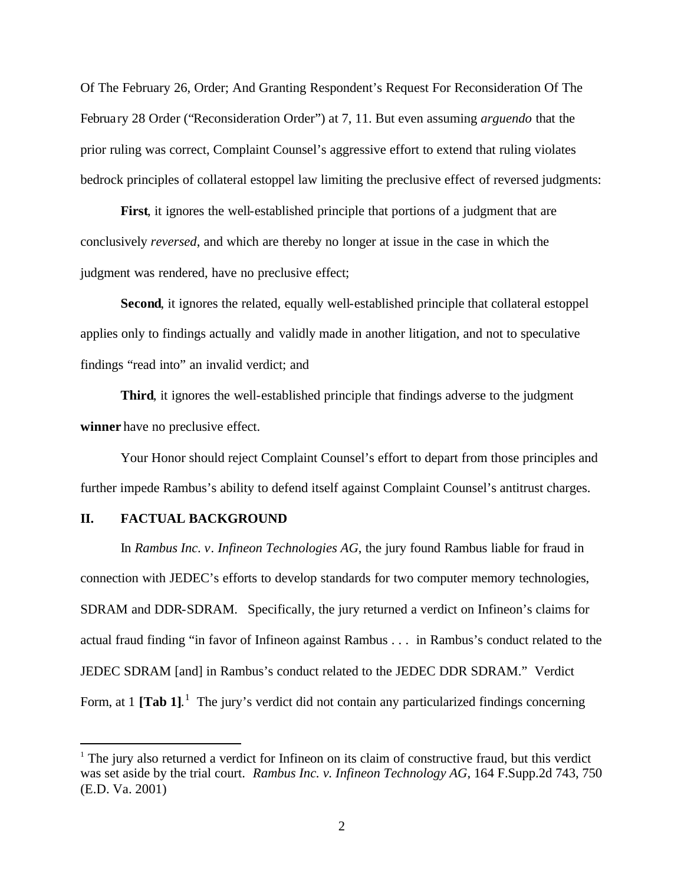Of The February 26, Order; And Granting Respondent's Request For Reconsideration Of The February 28 Order ("Reconsideration Order") at 7, 11. But even assuming *arguendo* that the prior ruling was correct, Complaint Counsel's aggressive effort to extend that ruling violates bedrock principles of collateral estoppel law limiting the preclusive effect of reversed judgments:

**First**, it ignores the well-established principle that portions of a judgment that are conclusively *reversed*, and which are thereby no longer at issue in the case in which the judgment was rendered, have no preclusive effect;

**Second**, it ignores the related, equally well-established principle that collateral estoppel applies only to findings actually and validly made in another litigation, and not to speculative findings "read into" an invalid verdict; and

**Third**, it ignores the well-established principle that findings adverse to the judgment **winner** have no preclusive effect.

Your Honor should reject Complaint Counsel's effort to depart from those principles and further impede Rambus's ability to defend itself against Complaint Counsel's antitrust charges.

### **II. FACTUAL BACKGROUND**

 $\overline{a}$ 

In *Rambus Inc*. *v. Infineon Technologies AG*, the jury found Rambus liable for fraud in connection with JEDEC's efforts to develop standards for two computer memory technologies, SDRAM and DDR-SDRAM. Specifically, the jury returned a verdict on Infineon's claims for actual fraud finding "in favor of Infineon against Rambus . . . in Rambus's conduct related to the JEDEC SDRAM [and] in Rambus's conduct related to the JEDEC DDR SDRAM." Verdict Form, at  $1$  [Tab 1].<sup>1</sup> The jury's verdict did not contain any particularized findings concerning

 $<sup>1</sup>$  The jury also returned a verdict for Infineon on its claim of constructive fraud, but this verdict</sup> was set aside by the trial court. *Rambus Inc. v. Infineon Technology AG*, 164 F.Supp.2d 743, 750 (E.D. Va. 2001)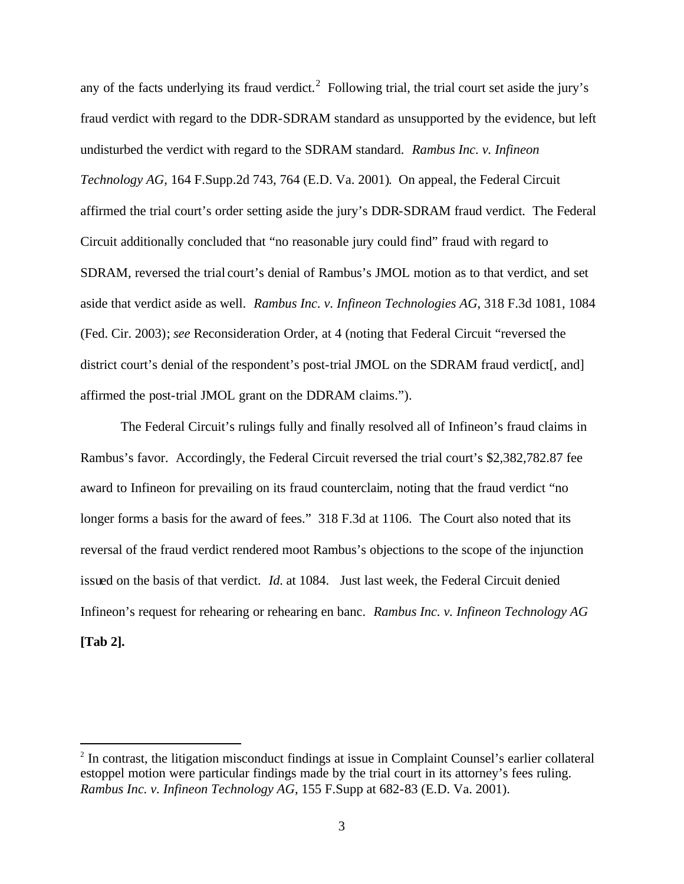any of the facts underlying its fraud verdict.<sup>2</sup> Following trial, the trial court set aside the jury's fraud verdict with regard to the DDR-SDRAM standard as unsupported by the evidence, but left undisturbed the verdict with regard to the SDRAM standard. *Rambus Inc. v. Infineon Technology AG*, 164 F.Supp.2d 743, 764 (E.D. Va. 2001). On appeal, the Federal Circuit affirmed the trial court's order setting aside the jury's DDR-SDRAM fraud verdict. The Federal Circuit additionally concluded that "no reasonable jury could find" fraud with regard to SDRAM, reversed the trial court's denial of Rambus's JMOL motion as to that verdict, and set aside that verdict aside as well. *Rambus Inc. v. Infineon Technologies AG*, 318 F.3d 1081, 1084 (Fed. Cir. 2003); *see* Reconsideration Order, at 4 (noting that Federal Circuit "reversed the district court's denial of the respondent's post-trial JMOL on the SDRAM fraud verdict[, and] affirmed the post-trial JMOL grant on the DDRAM claims.").

The Federal Circuit's rulings fully and finally resolved all of Infineon's fraud claims in Rambus's favor. Accordingly, the Federal Circuit reversed the trial court's \$2,382,782.87 fee award to Infineon for prevailing on its fraud counterclaim, noting that the fraud verdict "no longer forms a basis for the award of fees." 318 F.3d at 1106. The Court also noted that its reversal of the fraud verdict rendered moot Rambus's objections to the scope of the injunction issued on the basis of that verdict. *Id*. at 1084. Just last week, the Federal Circuit denied Infineon's request for rehearing or rehearing en banc. *Rambus Inc. v. Infineon Technology AG* **[Tab 2].**

<sup>&</sup>lt;sup>2</sup> In contrast, the litigation misconduct findings at issue in Complaint Counsel's earlier collateral estoppel motion were particular findings made by the trial court in its attorney's fees ruling. *Rambus Inc. v. Infineon Technology AG*, 155 F.Supp at 682-83 (E.D. Va. 2001).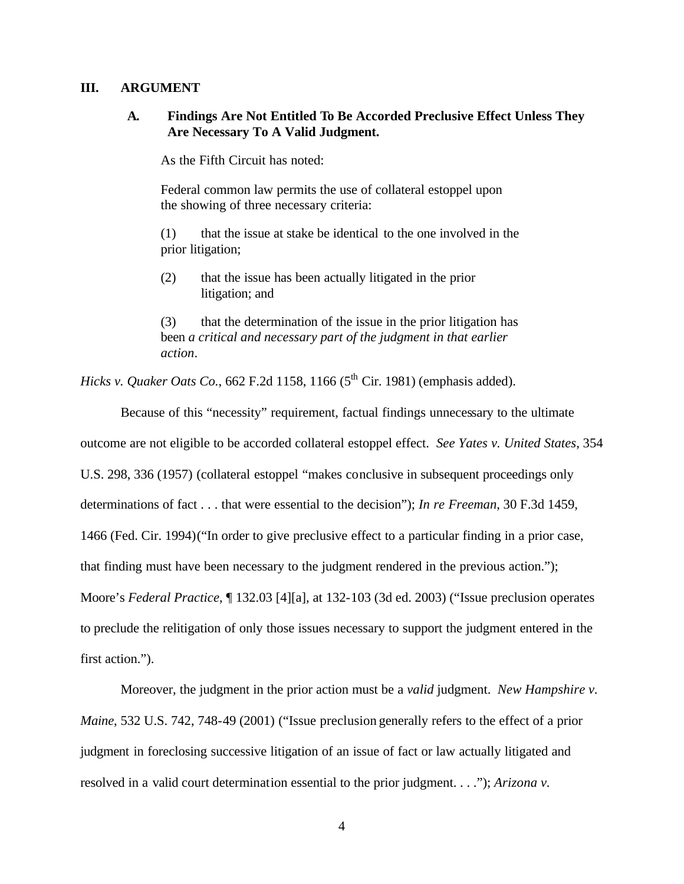#### **III. ARGUMENT**

### **A. Findings Are Not Entitled To Be Accorded Preclusive Effect Unless They Are Necessary To A Valid Judgment.**

As the Fifth Circuit has noted:

Federal common law permits the use of collateral estoppel upon the showing of three necessary criteria:

(1) that the issue at stake be identical to the one involved in the prior litigation;

(2) that the issue has been actually litigated in the prior litigation; and

(3) that the determination of the issue in the prior litigation has been *a critical and necessary part of the judgment in that earlier action*.

*Hicks v. Quaker Oats Co.*, 662 F.2d 1158, 1166 (5<sup>th</sup> Cir. 1981) (emphasis added).

Because of this "necessity" requirement, factual findings unnecessary to the ultimate outcome are not eligible to be accorded collateral estoppel effect. *See Yates v. United States*, 354 U.S. 298, 336 (1957) (collateral estoppel "makes conclusive in subsequent proceedings only determinations of fact . . . that were essential to the decision"); *In re Freeman*, 30 F.3d 1459, 1466 (Fed. Cir. 1994)("In order to give preclusive effect to a particular finding in a prior case, that finding must have been necessary to the judgment rendered in the previous action."); Moore's *Federal Practice*, ¶ 132.03 [4][a], at 132-103 (3d ed. 2003) ("Issue preclusion operates to preclude the relitigation of only those issues necessary to support the judgment entered in the first action.").

Moreover, the judgment in the prior action must be a *valid* judgment. *New Hampshire v. Maine*, 532 U.S. 742, 748-49 (2001) ("Issue preclusion generally refers to the effect of a prior judgment in foreclosing successive litigation of an issue of fact or law actually litigated and resolved in a valid court determination essential to the prior judgment. . . ."); *Arizona v.*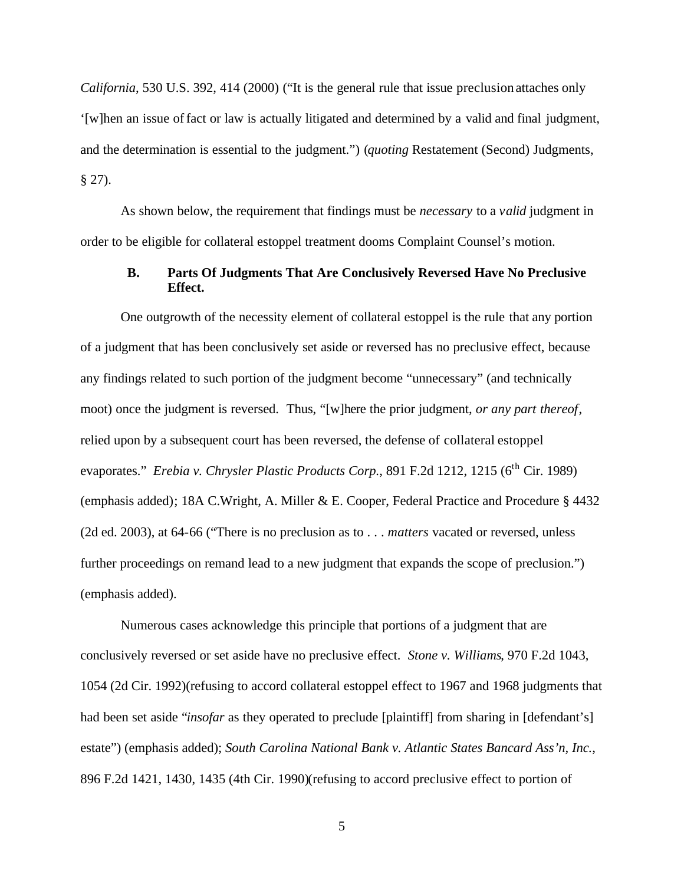*California*, 530 U.S. 392, 414 (2000) ("It is the general rule that issue preclusion attaches only '[w]hen an issue of fact or law is actually litigated and determined by a valid and final judgment, and the determination is essential to the judgment.") (*quoting* Restatement (Second) Judgments,  $§$  27).

As shown below, the requirement that findings must be *necessary* to a *valid* judgment in order to be eligible for collateral estoppel treatment dooms Complaint Counsel's motion.

#### **B. Parts Of Judgments That Are Conclusively Reversed Have No Preclusive Effect.**

One outgrowth of the necessity element of collateral estoppel is the rule that any portion of a judgment that has been conclusively set aside or reversed has no preclusive effect, because any findings related to such portion of the judgment become "unnecessary" (and technically moot) once the judgment is reversed. Thus, "[w]here the prior judgment, *or any part thereof*, relied upon by a subsequent court has been reversed, the defense of collateral estoppel evaporates." *Erebia v. Chrysler Plastic Products Corp.*, 891 F.2d 1212, 1215 (6<sup>th</sup> Cir. 1989) (emphasis added); 18A C.Wright, A. Miller & E. Cooper, Federal Practice and Procedure § 4432 (2d ed. 2003), at 64-66 ("There is no preclusion as to . . . *matters* vacated or reversed, unless further proceedings on remand lead to a new judgment that expands the scope of preclusion." (emphasis added).

Numerous cases acknowledge this principle that portions of a judgment that are conclusively reversed or set aside have no preclusive effect. *Stone v. Williams*, 970 F.2d 1043, 1054 (2d Cir. 1992)(refusing to accord collateral estoppel effect to 1967 and 1968 judgments that had been set aside "*insofar* as they operated to preclude [plaintiff] from sharing in [defendant's] estate") (emphasis added); *South Carolina National Bank v. Atlantic States Bancard Ass'n, Inc.*, 896 F.2d 1421, 1430, 1435 (4th Cir. 1990)(refusing to accord preclusive effect to portion of

5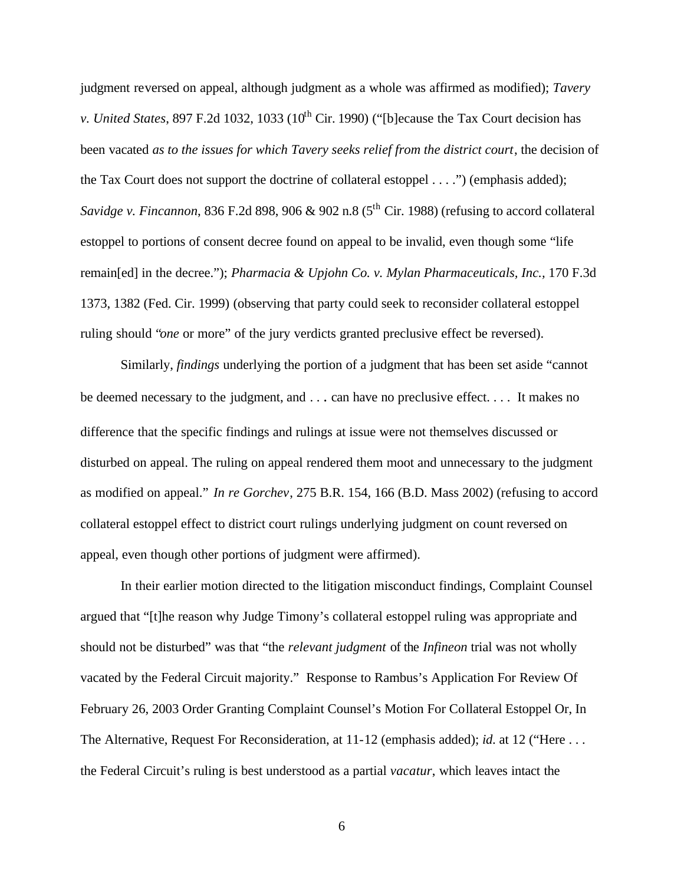judgment reversed on appeal, although judgment as a whole was affirmed as modified); *Tavery v. United States*, 897 F.2d 1032, 1033 (10<sup>th</sup> Cir. 1990) ("[b]ecause the Tax Court decision has been vacated *as to the issues for which Tavery seeks relief from the district court*, the decision of the Tax Court does not support the doctrine of collateral estoppel . . . .") (emphasis added); *Savidge v. Fincannon*, 836 F.2d 898, 906 & 902 n.8 ( $5<sup>th</sup>$  Cir. 1988) (refusing to accord collateral estoppel to portions of consent decree found on appeal to be invalid, even though some "life remain[ed] in the decree."); *Pharmacia & Upjohn Co. v. Mylan Pharmaceuticals, Inc.,* 170 F.3d 1373, 1382 (Fed. Cir. 1999) (observing that party could seek to reconsider collateral estoppel ruling should "*one* or more" of the jury verdicts granted preclusive effect be reversed).

Similarly, *findings* underlying the portion of a judgment that has been set aside "cannot be deemed necessary to the judgment, and . . . can have no preclusive effect. . . . It makes no difference that the specific findings and rulings at issue were not themselves discussed or disturbed on appeal. The ruling on appeal rendered them moot and unnecessary to the judgment as modified on appeal." *In re Gorchev*, 275 B.R. 154, 166 (B.D. Mass 2002) (refusing to accord collateral estoppel effect to district court rulings underlying judgment on count reversed on appeal, even though other portions of judgment were affirmed).

In their earlier motion directed to the litigation misconduct findings, Complaint Counsel argued that "[t]he reason why Judge Timony's collateral estoppel ruling was appropriate and should not be disturbed" was that "the *relevant judgment* of the *Infineon* trial was not wholly vacated by the Federal Circuit majority." Response to Rambus's Application For Review Of February 26, 2003 Order Granting Complaint Counsel's Motion For Collateral Estoppel Or, In The Alternative, Request For Reconsideration, at 11-12 (emphasis added); *id*. at 12 ("Here . . . the Federal Circuit's ruling is best understood as a partial *vacatur*, which leaves intact the

6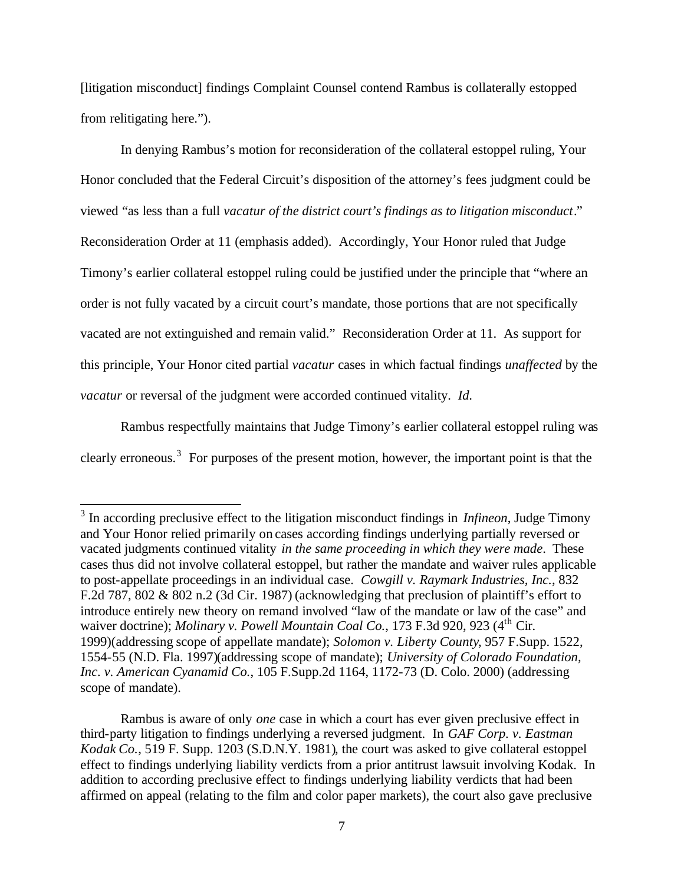[litigation misconduct] findings Complaint Counsel contend Rambus is collaterally estopped from relitigating here.").

In denying Rambus's motion for reconsideration of the collateral estoppel ruling, Your Honor concluded that the Federal Circuit's disposition of the attorney's fees judgment could be viewed "as less than a full *vacatur of the district court's findings as to litigation misconduct*." Reconsideration Order at 11 (emphasis added). Accordingly, Your Honor ruled that Judge Timony's earlier collateral estoppel ruling could be justified under the principle that "where an order is not fully vacated by a circuit court's mandate, those portions that are not specifically vacated are not extinguished and remain valid." Reconsideration Order at 11. As support for this principle, Your Honor cited partial *vacatur* cases in which factual findings *unaffected* by the *vacatur* or reversal of the judgment were accorded continued vitality. *Id*.

Rambus respectfully maintains that Judge Timony's earlier collateral estoppel ruling was clearly erroneous.<sup>3</sup> For purposes of the present motion, however, the important point is that the

<sup>3</sup> In according preclusive effect to the litigation misconduct findings in *Infineon*, Judge Timony and Your Honor relied primarily on cases according findings underlying partially reversed or vacated judgments continued vitality *in the same proceeding in which they were made*. These cases thus did not involve collateral estoppel, but rather the mandate and waiver rules applicable to post-appellate proceedings in an individual case. *Cowgill v. Raymark Industries, Inc.*, 832 F.2d 787, 802 & 802 n.2 (3d Cir. 1987) (acknowledging that preclusion of plaintiff's effort to introduce entirely new theory on remand involved "law of the mandate or law of the case" and waiver doctrine); *Molinary v. Powell Mountain Coal Co.*, 173 F.3d 920, 923 (4<sup>th</sup> Cir. 1999)(addressing scope of appellate mandate); *Solomon v. Liberty County*, 957 F.Supp. 1522, 1554-55 (N.D. Fla. 1997)(addressing scope of mandate); *University of Colorado Foundation, Inc. v. American Cyanamid Co.*, 105 F.Supp.2d 1164, 1172-73 (D. Colo. 2000) (addressing scope of mandate).

Rambus is aware of only *one* case in which a court has ever given preclusive effect in third-party litigation to findings underlying a reversed judgment. In *GAF Corp. v. Eastman Kodak Co.*, 519 F. Supp. 1203 (S.D.N.Y. 1981), the court was asked to give collateral estoppel effect to findings underlying liability verdicts from a prior antitrust lawsuit involving Kodak. In addition to according preclusive effect to findings underlying liability verdicts that had been affirmed on appeal (relating to the film and color paper markets), the court also gave preclusive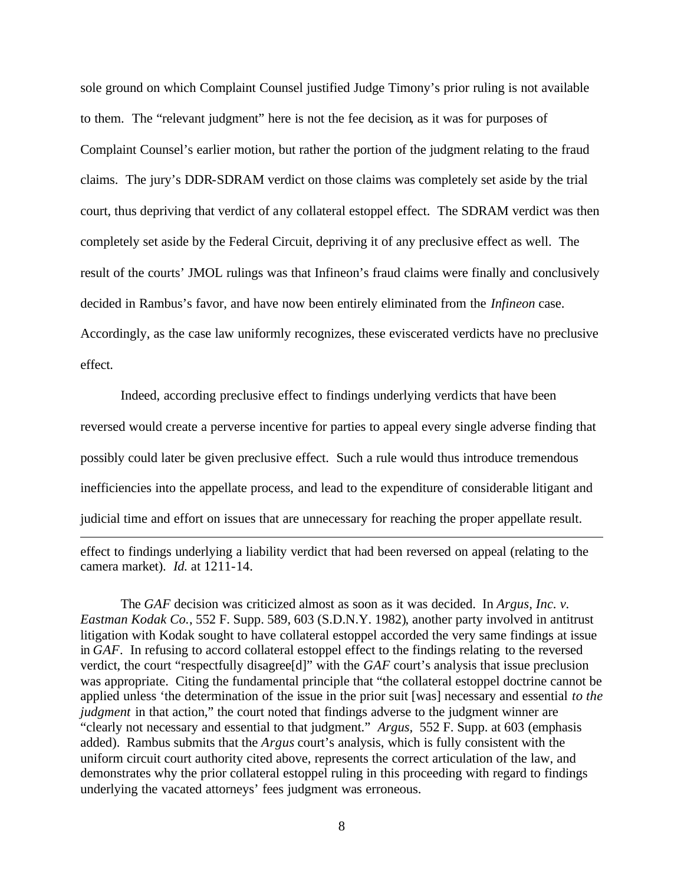sole ground on which Complaint Counsel justified Judge Timony's prior ruling is not available to them. The "relevant judgment" here is not the fee decision, as it was for purposes of Complaint Counsel's earlier motion, but rather the portion of the judgment relating to the fraud claims. The jury's DDR-SDRAM verdict on those claims was completely set aside by the trial court, thus depriving that verdict of any collateral estoppel effect. The SDRAM verdict was then completely set aside by the Federal Circuit, depriving it of any preclusive effect as well. The result of the courts' JMOL rulings was that Infineon's fraud claims were finally and conclusively decided in Rambus's favor, and have now been entirely eliminated from the *Infineon* case. Accordingly, as the case law uniformly recognizes, these eviscerated verdicts have no preclusive effect.

Indeed, according preclusive effect to findings underlying verdicts that have been reversed would create a perverse incentive for parties to appeal every single adverse finding that possibly could later be given preclusive effect. Such a rule would thus introduce tremendous inefficiencies into the appellate process, and lead to the expenditure of considerable litigant and judicial time and effort on issues that are unnecessary for reaching the proper appellate result.  $\overline{a}$ 

effect to findings underlying a liability verdict that had been reversed on appeal (relating to the camera market). *Id.* at 1211-14.

The *GAF* decision was criticized almost as soon as it was decided.In *Argus, Inc. v. Eastman Kodak Co.*, 552 F. Supp. 589, 603 (S.D.N.Y. 1982), another party involved in antitrust litigation with Kodak sought to have collateral estoppel accorded the very same findings at issue in *GAF*. In refusing to accord collateral estoppel effect to the findings relating to the reversed verdict, the court "respectfully disagree[d]" with the *GAF* court's analysis that issue preclusion was appropriate. Citing the fundamental principle that "the collateral estoppel doctrine cannot be applied unless 'the determination of the issue in the prior suit [was] necessary and essential *to the judgment* in that action," the court noted that findings adverse to the judgment winner are "clearly not necessary and essential to that judgment." *Argus,* 552 F. Supp. at 603 (emphasis added). Rambus submits that the *Argus* court's analysis, which is fully consistent with the uniform circuit court authority cited above, represents the correct articulation of the law, and demonstrates why the prior collateral estoppel ruling in this proceeding with regard to findings underlying the vacated attorneys' fees judgment was erroneous.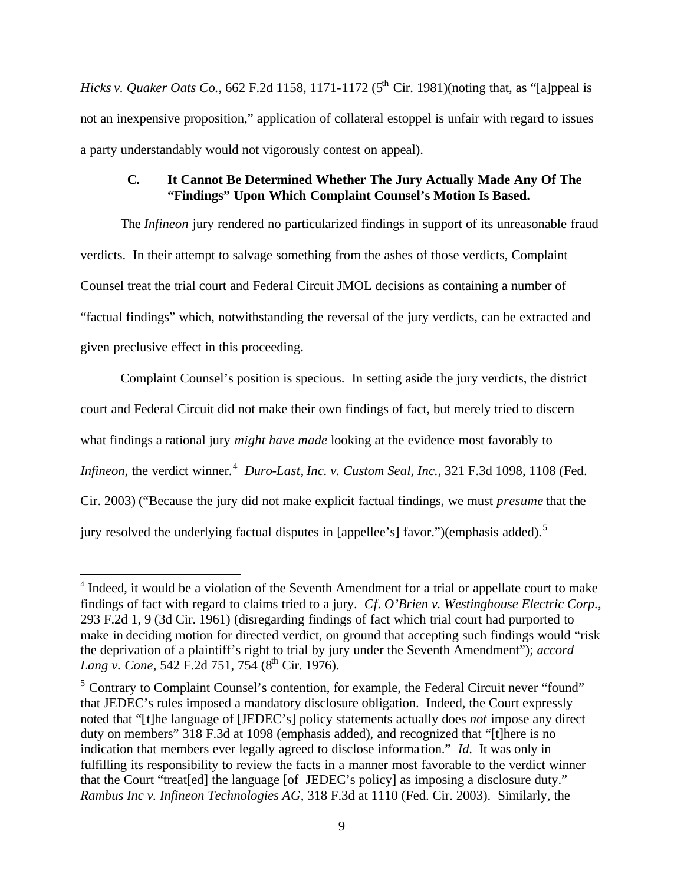*Hicks v. Quaker Oats Co.*, 662 F.2d 1158, 1171-1172 ( $5<sup>th</sup>$  Cir. 1981)(noting that, as "[a]ppeal is not an inexpensive proposition," application of collateral estoppel is unfair with regard to issues a party understandably would not vigorously contest on appeal).

## **C. It Cannot Be Determined Whether The Jury Actually Made Any Of The "Findings" Upon Which Complaint Counsel's Motion Is Based.**

The *Infineon* jury rendered no particularized findings in support of its unreasonable fraud verdicts. In their attempt to salvage something from the ashes of those verdicts, Complaint Counsel treat the trial court and Federal Circuit JMOL decisions as containing a number of "factual findings" which, notwithstanding the reversal of the jury verdicts, can be extracted and given preclusive effect in this proceeding.

Complaint Counsel's position is specious. In setting aside the jury verdicts, the district court and Federal Circuit did not make their own findings of fact, but merely tried to discern what findings a rational jury *might have made* looking at the evidence most favorably to Infineon, the verdict winner.<sup>4</sup> Duro-Last, Inc. v. Custom Seal, Inc., 321 F.3d 1098, 1108 (Fed. Cir. 2003) ("Because the jury did not make explicit factual findings, we must *presume* that the jury resolved the underlying factual disputes in [appellee's] favor.")(emphasis added).<sup>5</sup>

<sup>&</sup>lt;sup>4</sup> Indeed, it would be a violation of the Seventh Amendment for a trial or appellate court to make findings of fact with regard to claims tried to a jury. *Cf. O'Brien v. Westinghouse Electric Corp.*, 293 F.2d 1, 9 (3d Cir. 1961) (disregarding findings of fact which trial court had purported to make in deciding motion for directed verdict, on ground that accepting such findings would "risk the deprivation of a plaintiff's right to trial by jury under the Seventh Amendment"); *accord Lang v. Cone*, 542 F.2d 751, 754 (8<sup>th</sup> Cir. 1976).

<sup>&</sup>lt;sup>5</sup> Contrary to Complaint Counsel's contention, for example, the Federal Circuit never "found" that JEDEC's rules imposed a mandatory disclosure obligation. Indeed, the Court expressly noted that "[t]he language of [JEDEC's] policy statements actually does *not* impose any direct duty on members" 318 F.3d at 1098 (emphasis added), and recognized that "[t]here is no indication that members ever legally agreed to disclose informa tion." *Id*. It was only in fulfilling its responsibility to review the facts in a manner most favorable to the verdict winner that the Court "treat[ed] the language [of JEDEC's policy] as imposing a disclosure duty." *Rambus Inc v. Infineon Technologies AG*, 318 F.3d at 1110 (Fed. Cir. 2003). Similarly, the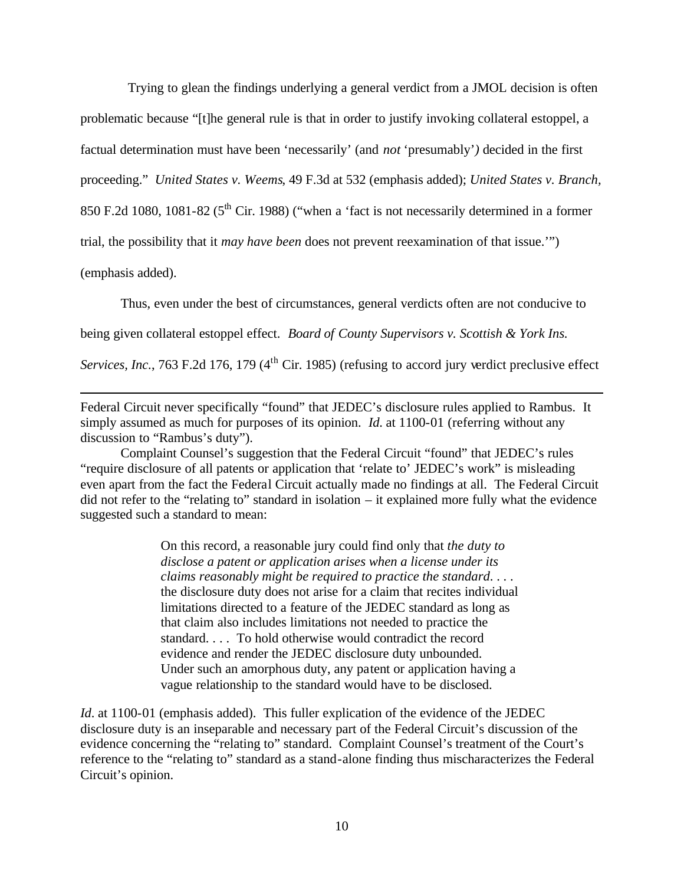Trying to glean the findings underlying a general verdict from a JMOL decision is often

problematic because "[t]he general rule is that in order to justify invoking collateral estoppel, a

factual determination must have been 'necessarily' (and *not* 'presumably'*)* decided in the first

proceeding." *United States v. Weems*, 49 F.3d at 532 (emphasis added); *United States v. Branch,* 

850 F.2d 1080, 1081-82 ( $5<sup>th</sup>$  Cir. 1988) ("when a 'fact is not necessarily determined in a former

trial, the possibility that it *may have been* does not prevent reexamination of that issue.'")

(emphasis added).

 $\overline{a}$ 

Thus, even under the best of circumstances, general verdicts often are not conducive to

being given collateral estoppel effect. *Board of County Supervisors v. Scottish & York Ins.* 

*Services, Inc.*, 763 F.2d 176, 179 (4<sup>th</sup> Cir. 1985) (refusing to accord jury verdict preclusive effect

Federal Circuit never specifically "found" that JEDEC's disclosure rules applied to Rambus. It simply assumed as much for purposes of its opinion. *Id*. at 1100-01 (referring without any discussion to "Rambus's duty").

Complaint Counsel's suggestion that the Federal Circuit "found" that JEDEC's rules "require disclosure of all patents or application that 'relate to' JEDEC's work" is misleading even apart from the fact the Federal Circuit actually made no findings at all. The Federal Circuit did not refer to the "relating to" standard in isolation – it explained more fully what the evidence suggested such a standard to mean:

> On this record, a reasonable jury could find only that *the duty to disclose a patent or application arises when a license under its claims reasonably might be required to practice the standard*. . . . the disclosure duty does not arise for a claim that recites individual limitations directed to a feature of the JEDEC standard as long as that claim also includes limitations not needed to practice the standard. . . . To hold otherwise would contradict the record evidence and render the JEDEC disclosure duty unbounded. Under such an amorphous duty, any patent or application having a vague relationship to the standard would have to be disclosed.

*Id.* at 1100-01 (emphasis added). This fuller explication of the evidence of the JEDEC disclosure duty is an inseparable and necessary part of the Federal Circuit's discussion of the evidence concerning the "relating to" standard. Complaint Counsel's treatment of the Court's reference to the "relating to" standard as a stand-alone finding thus mischaracterizes the Federal Circuit's opinion.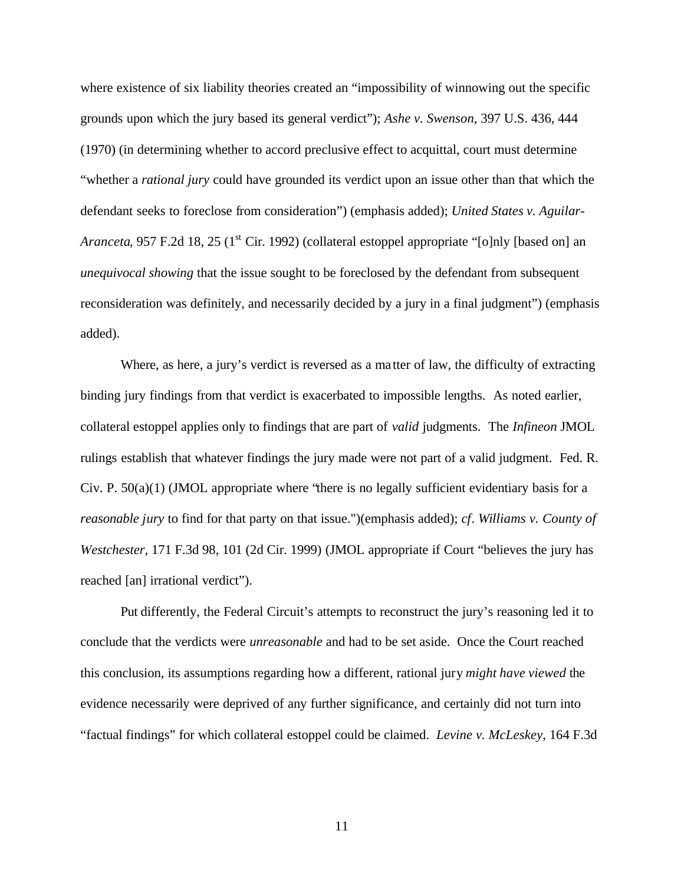where existence of six liability theories created an "impossibility of winnowing out the specific grounds upon which the jury based its general verdict"); *Ashe v. Swenson*, 397 U.S. 436, 444 (1970) (in determining whether to accord preclusive effect to acquittal, court must determine "whether a *rational jury* could have grounded its verdict upon an issue other than that which the defendant seeks to foreclose from consideration") (emphasis added); *United States v. Aguilar-Aranceta*, 957 F.2d 18, 25 (1<sup>st</sup> Cir. 1992) (collateral estoppel appropriate "[o]nly [based on] an *unequivocal showing* that the issue sought to be foreclosed by the defendant from subsequent reconsideration was definitely, and necessarily decided by a jury in a final judgment") (emphasis added).

Where, as here, a jury's verdict is reversed as a ma tter of law, the difficulty of extracting binding jury findings from that verdict is exacerbated to impossible lengths. As noted earlier, collateral estoppel applies only to findings that are part of *valid* judgments. The *Infineon* JMOL rulings establish that whatever findings the jury made were not part of a valid judgment. Fed. R. Civ. P.  $50(a)(1)$  (JMOL appropriate where 'there is no legally sufficient evidentiary basis for a *reasonable jury* to find for that party on that issue.")(emphasis added); *cf*. *Williams v. County of Westchester*, 171 F.3d 98, 101 (2d Cir. 1999) (JMOL appropriate if Court "believes the jury has reached [an] irrational verdict").

Put differently, the Federal Circuit's attempts to reconstruct the jury's reasoning led it to conclude that the verdicts were *unreasonable* and had to be set aside. Once the Court reached this conclusion, its assumptions regarding how a different, rational jury *might have viewed* the evidence necessarily were deprived of any further significance, and certainly did not turn into "factual findings" for which collateral estoppel could be claimed. *Levine v. McLeskey*, 164 F.3d

11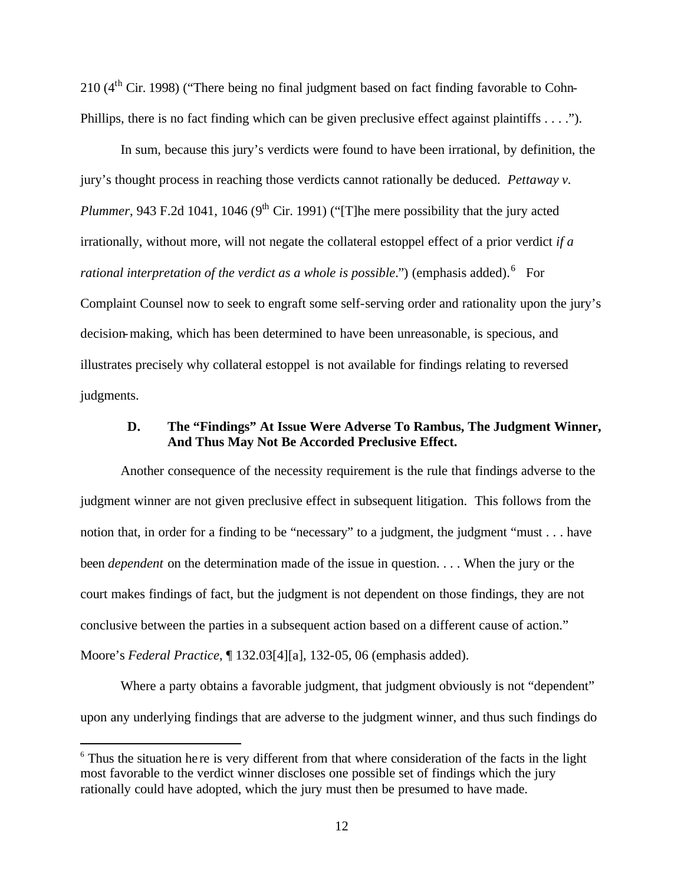210 (4th Cir. 1998) ("There being no final judgment based on fact finding favorable to Cohn-Phillips, there is no fact finding which can be given preclusive effect against plaintiffs . . . .").

In sum, because this jury's verdicts were found to have been irrational, by definition, the jury's thought process in reaching those verdicts cannot rationally be deduced. *Pettaway v. Plummer*, 943 F.2d 1041, 1046 (9<sup>th</sup> Cir. 1991) ("[T]he mere possibility that the jury acted irrationally, without more, will not negate the collateral estoppel effect of a prior verdict *if a*  rational interpretation of the verdict as a whole is possible.") (emphasis added).<sup>6</sup> For Complaint Counsel now to seek to engraft some self-serving order and rationality upon the jury's decision-making, which has been determined to have been unreasonable, is specious, and illustrates precisely why collateral estoppel is not available for findings relating to reversed judgments.

### **D. The "Findings" At Issue Were Adverse To Rambus, The Judgment Winner, And Thus May Not Be Accorded Preclusive Effect.**

Another consequence of the necessity requirement is the rule that findings adverse to the judgment winner are not given preclusive effect in subsequent litigation. This follows from the notion that, in order for a finding to be "necessary" to a judgment, the judgment "must . . . have been *dependent* on the determination made of the issue in question. . . . When the jury or the court makes findings of fact, but the judgment is not dependent on those findings, they are not conclusive between the parties in a subsequent action based on a different cause of action." Moore's *Federal Practice*, ¶ 132.03[4][a], 132-05, 06 (emphasis added).

Where a party obtains a favorable judgment, that judgment obviously is not "dependent" upon any underlying findings that are adverse to the judgment winner, and thus such findings do

 $6$  Thus the situation he re is very different from that where consideration of the facts in the light most favorable to the verdict winner discloses one possible set of findings which the jury rationally could have adopted, which the jury must then be presumed to have made.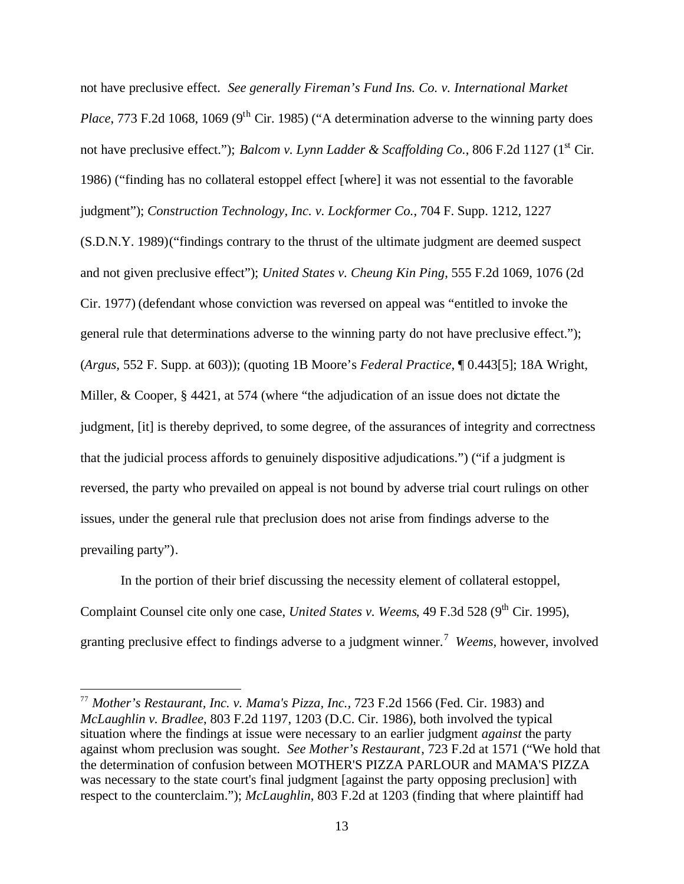not have preclusive effect. *See generally Fireman's Fund Ins. Co. v. International Market Place*, 773 F.2d 1068, 1069 (9<sup>th</sup> Cir. 1985) ("A determination adverse to the winning party does not have preclusive effect."); *Balcom v. Lynn Ladder & Scaffolding Co.*, 806 F.2d 1127 (1<sup>st</sup> Cir. 1986) ("finding has no collateral estoppel effect [where] it was not essential to the favorable judgment"); *Construction Technology, Inc. v. Lockformer Co.*, 704 F. Supp. 1212, 1227 (S.D.N.Y. 1989)("findings contrary to the thrust of the ultimate judgment are deemed suspect and not given preclusive effect"); *United States v. Cheung Kin Ping*, 555 F.2d 1069, 1076 (2d Cir. 1977) (defendant whose conviction was reversed on appeal was "entitled to invoke the general rule that determinations adverse to the winning party do not have preclusive effect."); (*Argus,* 552 F. Supp. at 603)); (quoting 1B Moore's *Federal Practice*, ¶ 0.443[5]; 18A Wright, Miller, & Cooper, § 4421, at 574 (where "the adjudication of an issue does not dictate the judgment, [it] is thereby deprived, to some degree, of the assurances of integrity and correctness that the judicial process affords to genuinely dispositive adjudications.") ("if a judgment is reversed, the party who prevailed on appeal is not bound by adverse trial court rulings on other issues, under the general rule that preclusion does not arise from findings adverse to the prevailing party").

In the portion of their brief discussing the necessity element of collateral estoppel, Complaint Counsel cite only one case, *United States v. Weems*, 49 F.3d 528 (9<sup>th</sup> Cir. 1995), granting preclusive effect to findings adverse to a judgment winner.<sup>7</sup> Weems, however, involved

<sup>77</sup> *Mother's Restaurant, Inc. v. Mama's Pizza, Inc.,* 723 F.2d 1566 (Fed. Cir. 1983) and *McLaughlin v. Bradlee*, 803 F.2d 1197, 1203 (D.C. Cir. 1986), both involved the typical situation where the findings at issue were necessary to an earlier judgment *against* the party against whom preclusion was sought. *See Mother's Restaurant*, 723 F.2d at 1571 ("We hold that the determination of confusion between MOTHER'S PIZZA PARLOUR and MAMA'S PIZZA was necessary to the state court's final judgment [against the party opposing preclusion] with respect to the counterclaim."); *McLaughlin*, 803 F.2d at 1203 (finding that where plaintiff had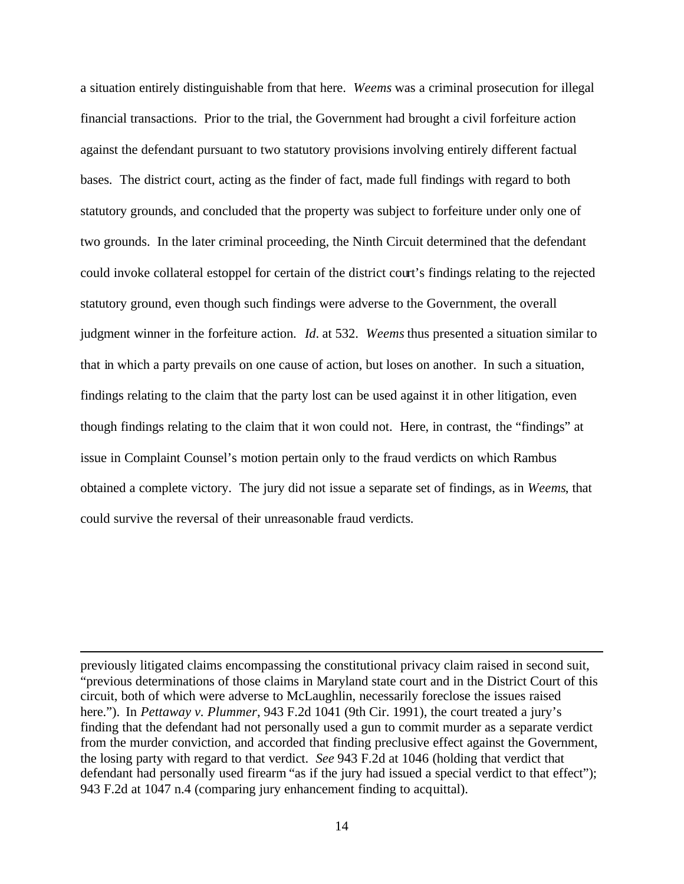a situation entirely distinguishable from that here. *Weems* was a criminal prosecution for illegal financial transactions. Prior to the trial, the Government had brought a civil forfeiture action against the defendant pursuant to two statutory provisions involving entirely different factual bases. The district court, acting as the finder of fact, made full findings with regard to both statutory grounds, and concluded that the property was subject to forfeiture under only one of two grounds. In the later criminal proceeding, the Ninth Circuit determined that the defendant could invoke collateral estoppel for certain of the district court's findings relating to the rejected statutory ground, even though such findings were adverse to the Government, the overall judgment winner in the forfeiture action. *Id*. at 532. *Weems* thus presented a situation similar to that in which a party prevails on one cause of action, but loses on another. In such a situation, findings relating to the claim that the party lost can be used against it in other litigation, even though findings relating to the claim that it won could not. Here, in contrast, the "findings" at issue in Complaint Counsel's motion pertain only to the fraud verdicts on which Rambus obtained a complete victory. The jury did not issue a separate set of findings, as in *Weems*, that could survive the reversal of their unreasonable fraud verdicts.

previously litigated claims encompassing the constitutional privacy claim raised in second suit, "previous determinations of those claims in Maryland state court and in the District Court of this circuit, both of which were adverse to McLaughlin, necessarily foreclose the issues raised here."). In *Pettaway v. Plummer*, 943 F.2d 1041 (9th Cir. 1991), the court treated a jury's finding that the defendant had not personally used a gun to commit murder as a separate verdict from the murder conviction, and accorded that finding preclusive effect against the Government, the losing party with regard to that verdict. *See* 943 F.2d at 1046 (holding that verdict that defendant had personally used firearm "as if the jury had issued a special verdict to that effect"); 943 F.2d at 1047 n.4 (comparing jury enhancement finding to acquittal).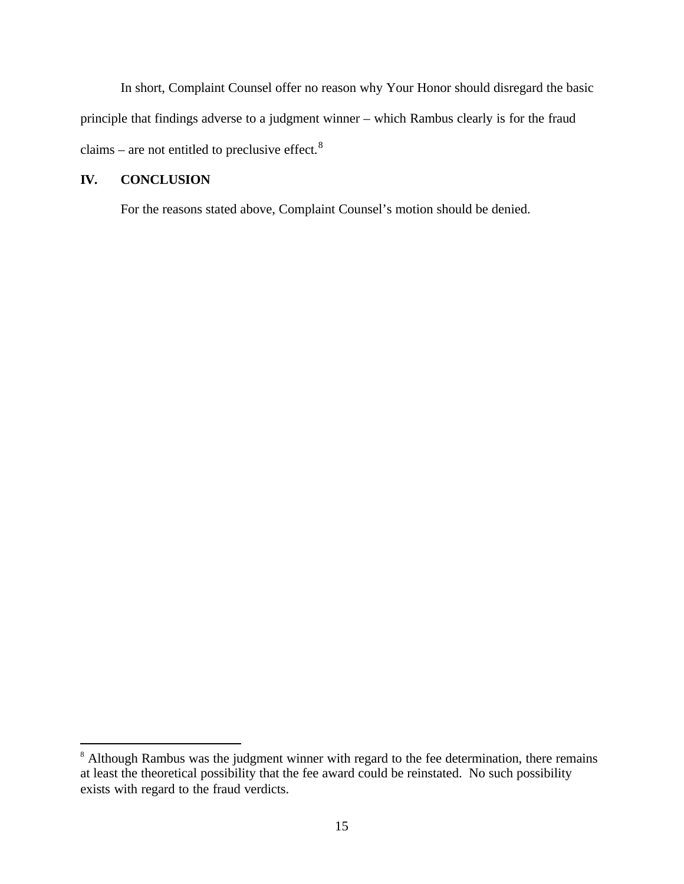In short, Complaint Counsel offer no reason why Your Honor should disregard the basic principle that findings adverse to a judgment winner – which Rambus clearly is for the fraud claims – are not entitled to preclusive effect.<sup>8</sup>

## **IV. CONCLUSION**

 $\overline{a}$ 

For the reasons stated above, Complaint Counsel's motion should be denied.

<sup>&</sup>lt;sup>8</sup> Although Rambus was the judgment winner with regard to the fee determination, there remains at least the theoretical possibility that the fee award could be reinstated. No such possibility exists with regard to the fraud verdicts.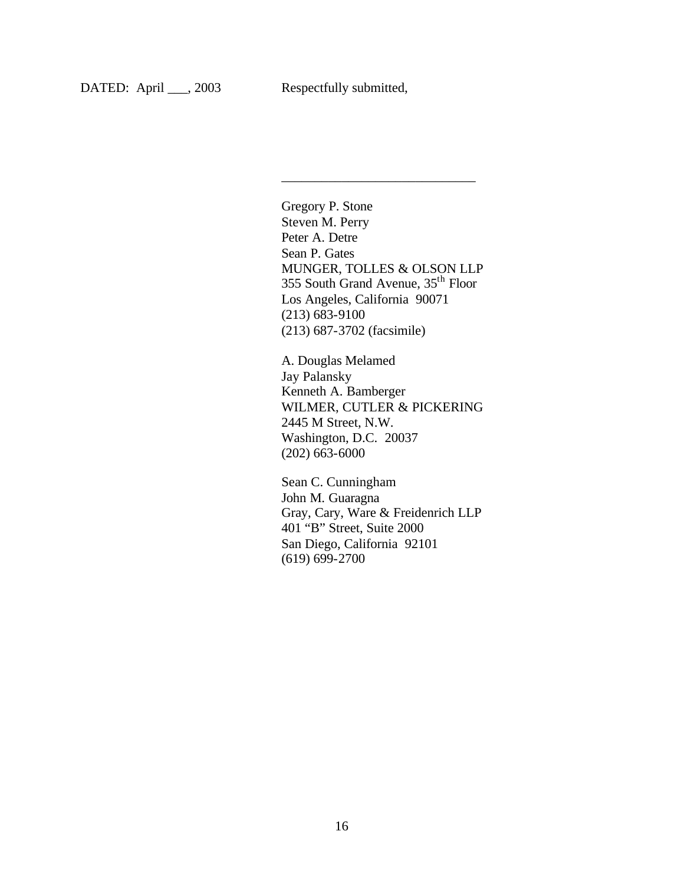Gregory P. Stone Steven M. Perry Peter A. Detre Sean P. Gates MUNGER, TOLLES & OLSON LLP 355 South Grand Avenue, 35th Floor Los Angeles, California 90071 (213) 683-9100 (213) 687-3702 (facsimile)

\_\_\_\_\_\_\_\_\_\_\_\_\_\_\_\_\_\_\_\_\_\_\_\_\_\_\_\_\_

A. Douglas Melamed Jay Palansky Kenneth A. Bamberger WILMER, CUTLER & PICKERING 2445 M Street, N.W. Washington, D.C. 20037 (202) 663-6000

Sean C. Cunningham John M. Guaragna Gray, Cary, Ware & Freidenrich LLP 401 "B" Street, Suite 2000 San Diego, California 92101 (619) 699-2700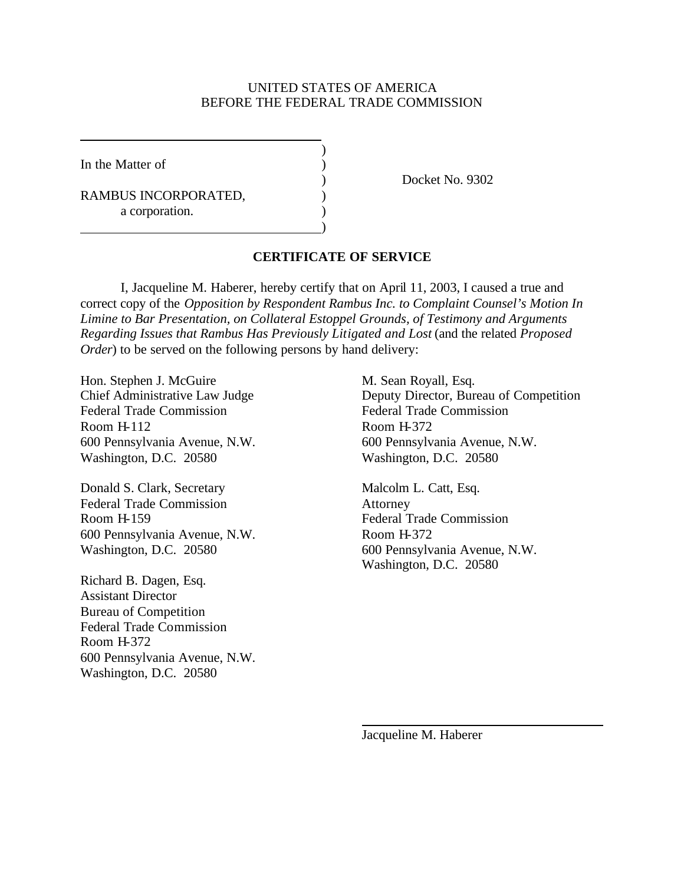#### UNITED STATES OF AMERICA BEFORE THE FEDERAL TRADE COMMISSION

)

)

In the Matter of  $\qquad \qquad$  )

RAMBUS INCORPORATED,  $($ a corporation.

) Docket No. 9302

#### **CERTIFICATE OF SERVICE**

I, Jacqueline M. Haberer, hereby certify that on April 11, 2003, I caused a true and correct copy of the *Opposition by Respondent Rambus Inc. to Complaint Counsel's Motion In Limine to Bar Presentation, on Collateral Estoppel Grounds, of Testimony and Arguments Regarding Issues that Rambus Has Previously Litigated and Lost* (and the related *Proposed Order*) to be served on the following persons by hand delivery:

Hon. Stephen J. McGuire M. Sean Royall, Esq. Federal Trade Commission<br>
Federal Trade Commission Room H-112 Room H-372 Washington, D.C. 20580 Washington, D.C. 20580

Donald S. Clark, Secretary Malcolm L. Catt, Esq. Federal Trade Commission Attorney Room H-159 Federal Trade Commission 600 Pennsylvania Avenue, N.W. Room H-372

Richard B. Dagen, Esq. Assistant Director Bureau of Competition Federal Trade Commission Room H-372 600 Pennsylvania Avenue, N.W. Washington, D.C. 20580

Chief Administrative Law Judge Deputy Director, Bureau of Competition 600 Pennsylvania Avenue, N.W. 600 Pennsylvania Avenue, N.W.

Washington, D.C. 20580 600 Pennsylvania Avenue, N.W. Washington, D.C. 20580

Jacqueline M. Haberer